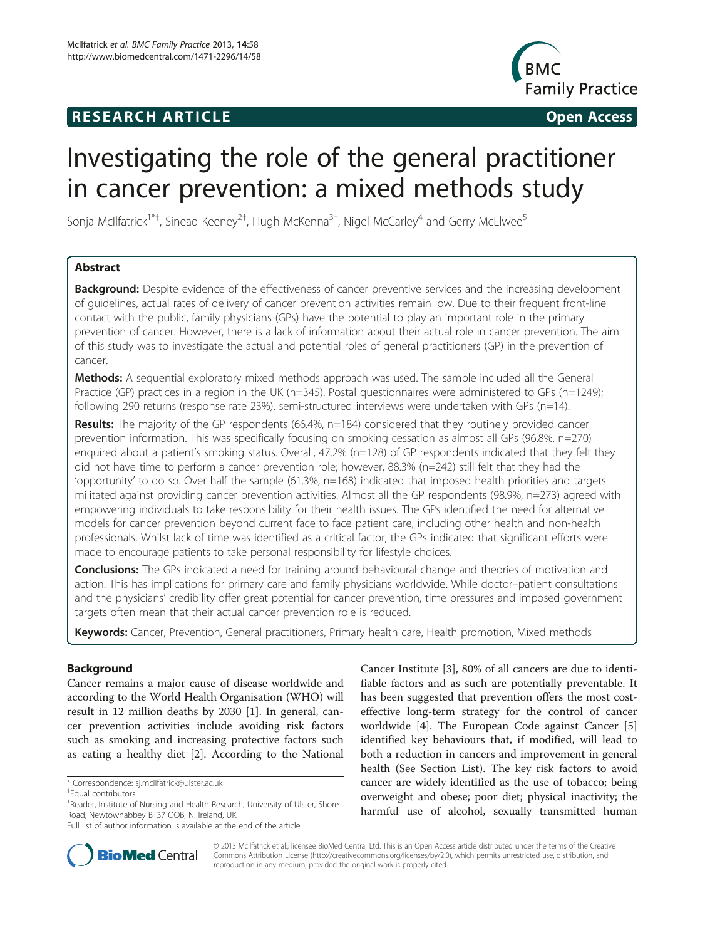# **RESEARCH ARTICLE Example 2018 Open Access**



# Investigating the role of the general practitioner in cancer prevention: a mixed methods study

Sonja McIlfatrick<sup>1\*†</sup>, Sinead Keeney<sup>2†</sup>, Hugh McKenna<sup>3†</sup>, Nigel McCarley<sup>4</sup> and Gerry McElwee<sup>5</sup>

# Abstract

**Background:** Despite evidence of the effectiveness of cancer preventive services and the increasing development of guidelines, actual rates of delivery of cancer prevention activities remain low. Due to their frequent front-line contact with the public, family physicians (GPs) have the potential to play an important role in the primary prevention of cancer. However, there is a lack of information about their actual role in cancer prevention. The aim of this study was to investigate the actual and potential roles of general practitioners (GP) in the prevention of cancer.

Methods: A sequential exploratory mixed methods approach was used. The sample included all the General Practice (GP) practices in a region in the UK (n=345). Postal questionnaires were administered to GPs (n=1249); following 290 returns (response rate 23%), semi-structured interviews were undertaken with GPs (n=14).

Results: The majority of the GP respondents (66.4%, n=184) considered that they routinely provided cancer prevention information. This was specifically focusing on smoking cessation as almost all GPs (96.8%, n=270) enquired about a patient's smoking status. Overall, 47.2% (n=128) of GP respondents indicated that they felt they did not have time to perform a cancer prevention role; however, 88.3% (n=242) still felt that they had the 'opportunity' to do so. Over half the sample (61.3%, n=168) indicated that imposed health priorities and targets militated against providing cancer prevention activities. Almost all the GP respondents (98.9%, n=273) agreed with empowering individuals to take responsibility for their health issues. The GPs identified the need for alternative models for cancer prevention beyond current face to face patient care, including other health and non-health professionals. Whilst lack of time was identified as a critical factor, the GPs indicated that significant efforts were made to encourage patients to take personal responsibility for lifestyle choices.

**Conclusions:** The GPs indicated a need for training around behavioural change and theories of motivation and action. This has implications for primary care and family physicians worldwide. While doctor–patient consultations and the physicians' credibility offer great potential for cancer prevention, time pressures and imposed government targets often mean that their actual cancer prevention role is reduced.

Keywords: Cancer, Prevention, General practitioners, Primary health care, Health promotion, Mixed methods

# Background

Cancer remains a major cause of disease worldwide and according to the World Health Organisation (WHO) will result in 12 million deaths by 2030 [[1\]](#page-7-0). In general, cancer prevention activities include avoiding risk factors such as smoking and increasing protective factors such as eating a healthy diet [\[2](#page-7-0)]. According to the National

\* Correspondence: [sj.mcilfatrick@ulster.ac.uk](mailto:sj.mcilfatrick@ulster.ac.uk) †

Cancer Institute [\[3](#page-7-0)], 80% of all cancers are due to identifiable factors and as such are potentially preventable. It has been suggested that prevention offers the most costeffective long-term strategy for the control of cancer worldwide [[4\]](#page-7-0). The European Code against Cancer [\[5](#page-7-0)] identified key behaviours that, if modified, will lead to both a reduction in cancers and improvement in general health (See Section List). The key risk factors to avoid cancer are widely identified as the use of tobacco; being overweight and obese; poor diet; physical inactivity; the harmful use of alcohol, sexually transmitted human



© 2013 McIlfatrick et al.; licensee BioMed Central Ltd. This is an Open Access article distributed under the terms of the Creative Commons Attribution License [\(http://creativecommons.org/licenses/by/2.0\)](http://creativecommons.org/licenses/by/2.0), which permits unrestricted use, distribution, and reproduction in any medium, provided the original work is properly cited.

Equal contributors

<sup>&</sup>lt;sup>1</sup> Reader, Institute of Nursing and Health Research, University of Ulster, Shore Road, Newtownabbey BT37 OQB, N. Ireland, UK

Full list of author information is available at the end of the article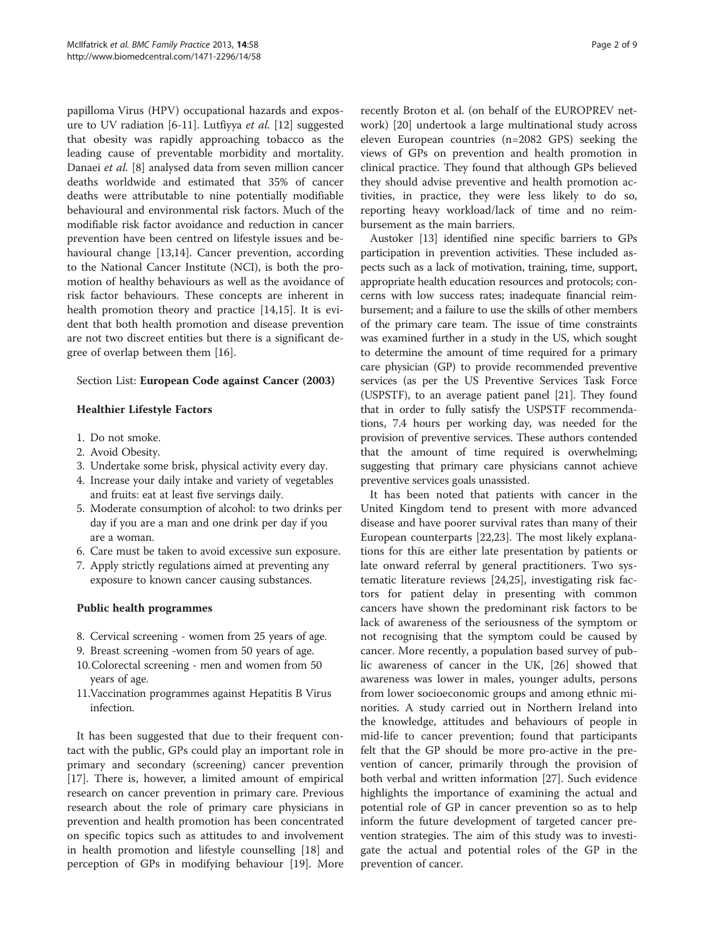papilloma Virus (HPV) occupational hazards and exposure to UV radiation [\[6-11](#page-7-0)]. Lutfiyya et al. [[12\]](#page-7-0) suggested that obesity was rapidly approaching tobacco as the leading cause of preventable morbidity and mortality. Danaei et al. [[8\]](#page-7-0) analysed data from seven million cancer deaths worldwide and estimated that 35% of cancer deaths were attributable to nine potentially modifiable behavioural and environmental risk factors. Much of the modifiable risk factor avoidance and reduction in cancer prevention have been centred on lifestyle issues and behavioural change [\[13](#page-7-0)[,14\]](#page-8-0). Cancer prevention, according to the National Cancer Institute (NCI), is both the promotion of healthy behaviours as well as the avoidance of risk factor behaviours. These concepts are inherent in health promotion theory and practice [[14,15\]](#page-8-0). It is evident that both health promotion and disease prevention are not two discreet entities but there is a significant degree of overlap between them [\[16](#page-8-0)].

# Section List: European Code against Cancer (2003)

# Healthier Lifestyle Factors

- 1. Do not smoke.
- 2. Avoid Obesity.
- 3. Undertake some brisk, physical activity every day.
- 4. Increase your daily intake and variety of vegetables and fruits: eat at least five servings daily.
- 5. Moderate consumption of alcohol: to two drinks per day if you are a man and one drink per day if you are a woman.
- 6. Care must be taken to avoid excessive sun exposure.
- 7. Apply strictly regulations aimed at preventing any exposure to known cancer causing substances.

# Public health programmes

- 8. Cervical screening women from 25 years of age.
- 9. Breast screening -women from 50 years of age.
- 10.Colorectal screening men and women from 50 years of age.
- 11.Vaccination programmes against Hepatitis B Virus infection.

It has been suggested that due to their frequent contact with the public, GPs could play an important role in primary and secondary (screening) cancer prevention [[17\]](#page-8-0). There is, however, a limited amount of empirical research on cancer prevention in primary care. Previous research about the role of primary care physicians in prevention and health promotion has been concentrated on specific topics such as attitudes to and involvement in health promotion and lifestyle counselling [[18](#page-8-0)] and perception of GPs in modifying behaviour [[19\]](#page-8-0). More recently Broton et al. (on behalf of the EUROPREV network) [\[20](#page-8-0)] undertook a large multinational study across eleven European countries (n=2082 GPS) seeking the views of GPs on prevention and health promotion in clinical practice. They found that although GPs believed they should advise preventive and health promotion activities, in practice, they were less likely to do so, reporting heavy workload/lack of time and no reimbursement as the main barriers.

Austoker [\[13\]](#page-7-0) identified nine specific barriers to GPs participation in prevention activities. These included aspects such as a lack of motivation, training, time, support, appropriate health education resources and protocols; concerns with low success rates; inadequate financial reimbursement; and a failure to use the skills of other members of the primary care team. The issue of time constraints was examined further in a study in the US, which sought to determine the amount of time required for a primary care physician (GP) to provide recommended preventive services (as per the US Preventive Services Task Force (USPSTF), to an average patient panel [[21](#page-8-0)]. They found that in order to fully satisfy the USPSTF recommendations, 7.4 hours per working day, was needed for the provision of preventive services. These authors contended that the amount of time required is overwhelming; suggesting that primary care physicians cannot achieve preventive services goals unassisted.

It has been noted that patients with cancer in the United Kingdom tend to present with more advanced disease and have poorer survival rates than many of their European counterparts [[22,23](#page-8-0)]. The most likely explanations for this are either late presentation by patients or late onward referral by general practitioners. Two systematic literature reviews [[24,25\]](#page-8-0), investigating risk factors for patient delay in presenting with common cancers have shown the predominant risk factors to be lack of awareness of the seriousness of the symptom or not recognising that the symptom could be caused by cancer. More recently, a population based survey of public awareness of cancer in the UK, [\[26\]](#page-8-0) showed that awareness was lower in males, younger adults, persons from lower socioeconomic groups and among ethnic minorities. A study carried out in Northern Ireland into the knowledge, attitudes and behaviours of people in mid-life to cancer prevention; found that participants felt that the GP should be more pro-active in the prevention of cancer, primarily through the provision of both verbal and written information [\[27\]](#page-8-0). Such evidence highlights the importance of examining the actual and potential role of GP in cancer prevention so as to help inform the future development of targeted cancer prevention strategies. The aim of this study was to investigate the actual and potential roles of the GP in the prevention of cancer.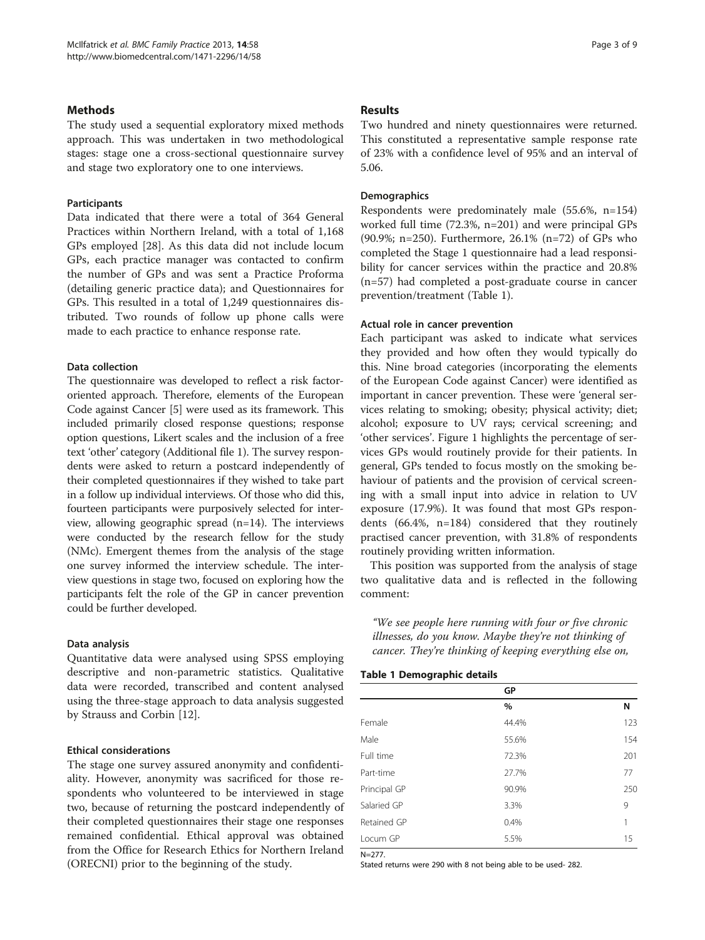#### **Methods**

The study used a sequential exploratory mixed methods approach. This was undertaken in two methodological stages: stage one a cross-sectional questionnaire survey and stage two exploratory one to one interviews.

#### Participants

Data indicated that there were a total of 364 General Practices within Northern Ireland, with a total of 1,168 GPs employed [\[28](#page-8-0)]. As this data did not include locum GPs, each practice manager was contacted to confirm the number of GPs and was sent a Practice Proforma (detailing generic practice data); and Questionnaires for GPs. This resulted in a total of 1,249 questionnaires distributed. Two rounds of follow up phone calls were made to each practice to enhance response rate.

#### Data collection

The questionnaire was developed to reflect a risk factororiented approach. Therefore, elements of the European Code against Cancer [\[5](#page-7-0)] were used as its framework. This included primarily closed response questions; response option questions, Likert scales and the inclusion of a free text 'other' category (Additional file [1](#page-7-0)). The survey respondents were asked to return a postcard independently of their completed questionnaires if they wished to take part in a follow up individual interviews. Of those who did this, fourteen participants were purposively selected for interview, allowing geographic spread (n=14). The interviews were conducted by the research fellow for the study (NMc). Emergent themes from the analysis of the stage one survey informed the interview schedule. The interview questions in stage two, focused on exploring how the participants felt the role of the GP in cancer prevention could be further developed.

#### Data analysis

Quantitative data were analysed using SPSS employing descriptive and non-parametric statistics. Qualitative data were recorded, transcribed and content analysed using the three-stage approach to data analysis suggested by Strauss and Corbin [[12\]](#page-7-0).

#### Ethical considerations

The stage one survey assured anonymity and confidentiality. However, anonymity was sacrificed for those respondents who volunteered to be interviewed in stage two, because of returning the postcard independently of their completed questionnaires their stage one responses remained confidential. Ethical approval was obtained from the Office for Research Ethics for Northern Ireland (ORECNI) prior to the beginning of the study.

#### Results

Two hundred and ninety questionnaires were returned. This constituted a representative sample response rate of 23% with a confidence level of 95% and an interval of 5.06.

### **Demographics**

Respondents were predominately male (55.6%, n=154) worked full time (72.3%, n=201) and were principal GPs (90.9%; n=250). Furthermore, 26.1% (n=72) of GPs who completed the Stage 1 questionnaire had a lead responsibility for cancer services within the practice and 20.8% (n=57) had completed a post-graduate course in cancer prevention/treatment (Table 1).

#### Actual role in cancer prevention

Each participant was asked to indicate what services they provided and how often they would typically do this. Nine broad categories (incorporating the elements of the European Code against Cancer) were identified as important in cancer prevention. These were 'general services relating to smoking; obesity; physical activity; diet; alcohol; exposure to UV rays; cervical screening; and 'other services'. Figure [1](#page-3-0) highlights the percentage of services GPs would routinely provide for their patients. In general, GPs tended to focus mostly on the smoking behaviour of patients and the provision of cervical screening with a small input into advice in relation to UV exposure (17.9%). It was found that most GPs respondents (66.4%, n=184) considered that they routinely practised cancer prevention, with 31.8% of respondents routinely providing written information.

This position was supported from the analysis of stage two qualitative data and is reflected in the following comment:

"We see people here running with four or five chronic illnesses, do you know. Maybe they're not thinking of cancer. They're thinking of keeping everything else on,

#### Table 1 Demographic details

|              | GP    |     |
|--------------|-------|-----|
|              | $\%$  | N   |
| Female       | 44.4% | 123 |
| Male         | 55.6% | 154 |
| Full time    | 72.3% | 201 |
| Part-time    | 27.7% | 77  |
| Principal GP | 90.9% | 250 |
| Salaried GP  | 3.3%  | 9   |
| Retained GP  | 0.4%  | 1   |
| Locum GP     | 5.5%  | 15  |

 $N = 277$ .

Stated returns were 290 with 8 not being able to be used- 282.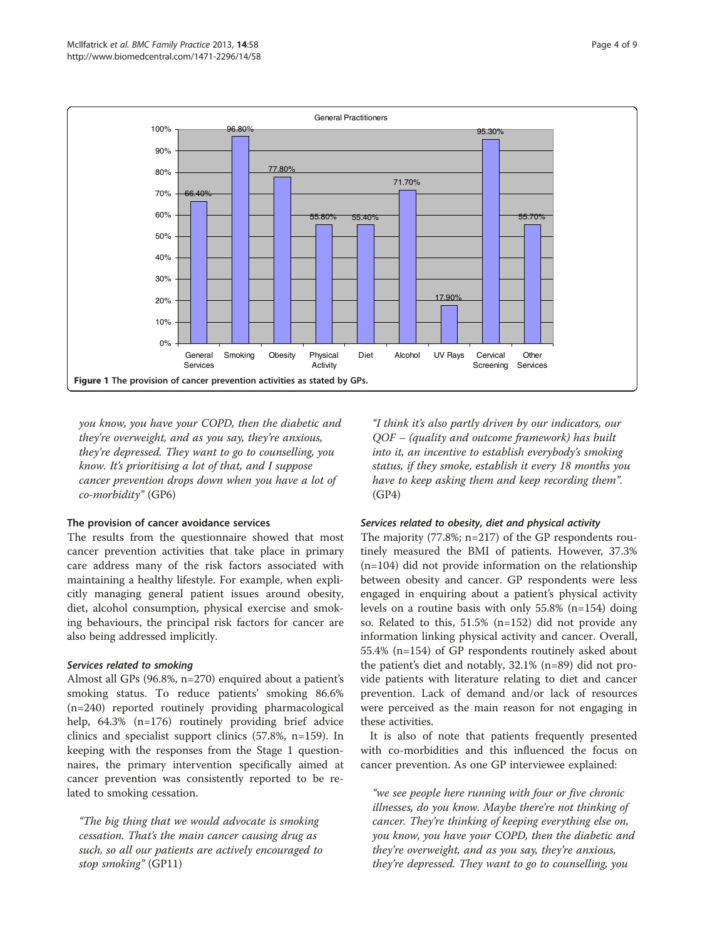

<span id="page-3-0"></span>

you know, you have your COPD, then the diabetic and they're overweight, and as you say, they're anxious, they're depressed. They want to go to counselling, you know. It's prioritising a lot of that, and I suppose cancer prevention drops down when you have a lot of co-morbidity" (GP6)

#### The provision of cancer avoidance services

The results from the questionnaire showed that most cancer prevention activities that take place in primary care address many of the risk factors associated with maintaining a healthy lifestyle. For example, when explicitly managing general patient issues around obesity, diet, alcohol consumption, physical exercise and smoking behaviours, the principal risk factors for cancer are also being addressed implicitly.

# Services related to smoking

Almost all GPs (96.8%, n=270) enquired about a patient's smoking status. To reduce patients' smoking 86.6% (n=240) reported routinely providing pharmacological help, 64.3% (n=176) routinely providing brief advice clinics and specialist support clinics (57.8%, n=159). In keeping with the responses from the Stage 1 questionnaires, the primary intervention specifically aimed at cancer prevention was consistently reported to be related to smoking cessation.

"The big thing that we would advocate is smoking cessation. That's the main cancer causing drug as such, so all our patients are actively encouraged to stop smoking" (GP11)

"I think it's also partly driven by our indicators, our QOF – (quality and outcome framework) has built into it, an incentive to establish everybody's smoking status, if they smoke, establish it every 18 months you have to keep asking them and keep recording them". (GP4)

#### Services related to obesity, diet and physical activity

The majority (77.8%; n=217) of the GP respondents routinely measured the BMI of patients. However, 37.3% (n=104) did not provide information on the relationship between obesity and cancer. GP respondents were less engaged in enquiring about a patient's physical activity levels on a routine basis with only 55.8% (n=154) doing so. Related to this, 51.5% (n=152) did not provide any information linking physical activity and cancer. Overall, 55.4% (n=154) of GP respondents routinely asked about the patient's diet and notably, 32.1% (n=89) did not provide patients with literature relating to diet and cancer prevention. Lack of demand and/or lack of resources were perceived as the main reason for not engaging in these activities.

It is also of note that patients frequently presented with co-morbidities and this influenced the focus on cancer prevention. As one GP interviewee explained:

"we see people here running with four or five chronic illnesses, do you know. Maybe there're not thinking of cancer. They're thinking of keeping everything else on, you know, you have your COPD, then the diabetic and they're overweight, and as you say, they're anxious, they're depressed. They want to go to counselling, you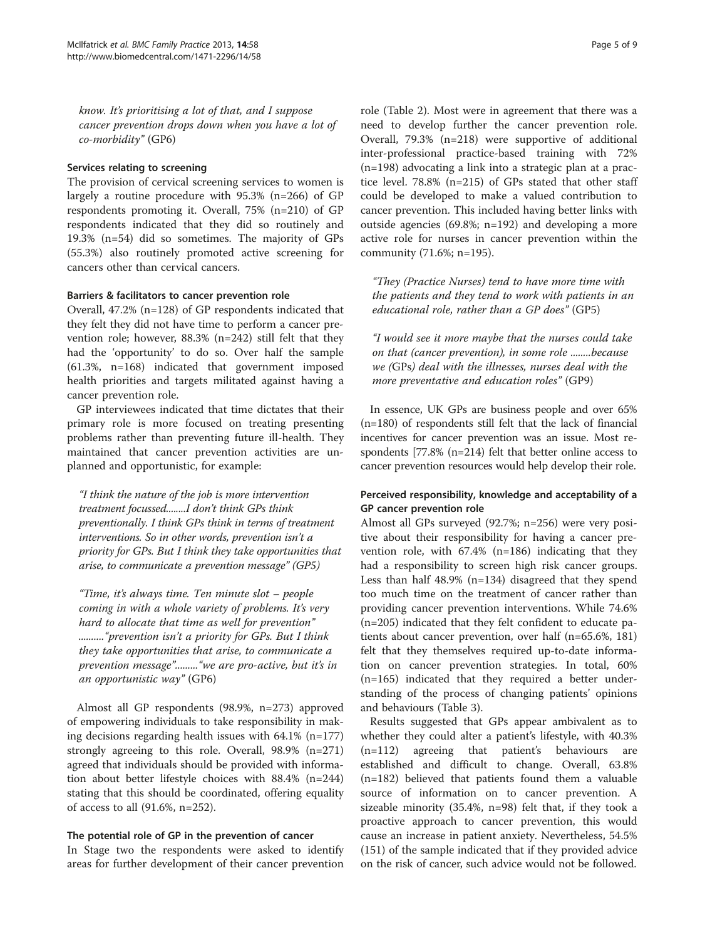know. It's prioritising a lot of that, and I suppose cancer prevention drops down when you have a lot of co-morbidity" (GP6)

#### Services relating to screening

The provision of cervical screening services to women is largely a routine procedure with 95.3% (n=266) of GP respondents promoting it. Overall, 75% (n=210) of GP respondents indicated that they did so routinely and 19.3% (n=54) did so sometimes. The majority of GPs (55.3%) also routinely promoted active screening for cancers other than cervical cancers.

#### Barriers & facilitators to cancer prevention role

Overall, 47.2% (n=128) of GP respondents indicated that they felt they did not have time to perform a cancer prevention role; however, 88.3% (n=242) still felt that they had the 'opportunity' to do so. Over half the sample (61.3%, n=168) indicated that government imposed health priorities and targets militated against having a cancer prevention role.

GP interviewees indicated that time dictates that their primary role is more focused on treating presenting problems rather than preventing future ill-health. They maintained that cancer prevention activities are unplanned and opportunistic, for example:

"I think the nature of the job is more intervention treatment focussed........I don't think GPs think preventionally. I think GPs think in terms of treatment interventions. So in other words, prevention isn't a priority for GPs. But I think they take opportunities that arise, to communicate a prevention message" (GP5)

"Time, it's always time. Ten minute slot – people coming in with a whole variety of problems. It's very hard to allocate that time as well for prevention" .........."prevention isn't a priority for GPs. But I think they take opportunities that arise, to communicate a prevention message"........."we are pro-active, but it's in an opportunistic way" (GP6)

Almost all GP respondents (98.9%, n=273) approved of empowering individuals to take responsibility in making decisions regarding health issues with 64.1% (n=177) strongly agreeing to this role. Overall, 98.9% (n=271) agreed that individuals should be provided with information about better lifestyle choices with 88.4% (n=244) stating that this should be coordinated, offering equality of access to all (91.6%, n=252).

# The potential role of GP in the prevention of cancer

In Stage two the respondents were asked to identify areas for further development of their cancer prevention

role (Table [2\)](#page-5-0). Most were in agreement that there was a need to develop further the cancer prevention role. Overall, 79.3% (n=218) were supportive of additional inter-professional practice-based training with 72% (n=198) advocating a link into a strategic plan at a practice level. 78.8% (n=215) of GPs stated that other staff could be developed to make a valued contribution to cancer prevention. This included having better links with outside agencies (69.8%; n=192) and developing a more active role for nurses in cancer prevention within the community (71.6%; n=195).

"They (Practice Nurses) tend to have more time with the patients and they tend to work with patients in an educational role, rather than a GP does" (GP5)

"I would see it more maybe that the nurses could take on that (cancer prevention), in some role ........because we (GPs) deal with the illnesses, nurses deal with the more preventative and education roles" (GP9)

In essence, UK GPs are business people and over 65% (n=180) of respondents still felt that the lack of financial incentives for cancer prevention was an issue. Most respondents [77.8% (n=214) felt that better online access to cancer prevention resources would help develop their role.

# Perceived responsibility, knowledge and acceptability of a GP cancer prevention role

Almost all GPs surveyed (92.7%; n=256) were very positive about their responsibility for having a cancer prevention role, with 67.4% (n=186) indicating that they had a responsibility to screen high risk cancer groups. Less than half 48.9% (n=134) disagreed that they spend too much time on the treatment of cancer rather than providing cancer prevention interventions. While 74.6% (n=205) indicated that they felt confident to educate patients about cancer prevention, over half (n=65.6%, 181) felt that they themselves required up-to-date information on cancer prevention strategies. In total, 60% (n=165) indicated that they required a better understanding of the process of changing patients' opinions and behaviours (Table [3\)](#page-5-0).

Results suggested that GPs appear ambivalent as to whether they could alter a patient's lifestyle, with 40.3% (n=112) agreeing that patient's behaviours are established and difficult to change. Overall, 63.8% (n=182) believed that patients found them a valuable source of information on to cancer prevention. A sizeable minority (35.4%, n=98) felt that, if they took a proactive approach to cancer prevention, this would cause an increase in patient anxiety. Nevertheless, 54.5% (151) of the sample indicated that if they provided advice on the risk of cancer, such advice would not be followed.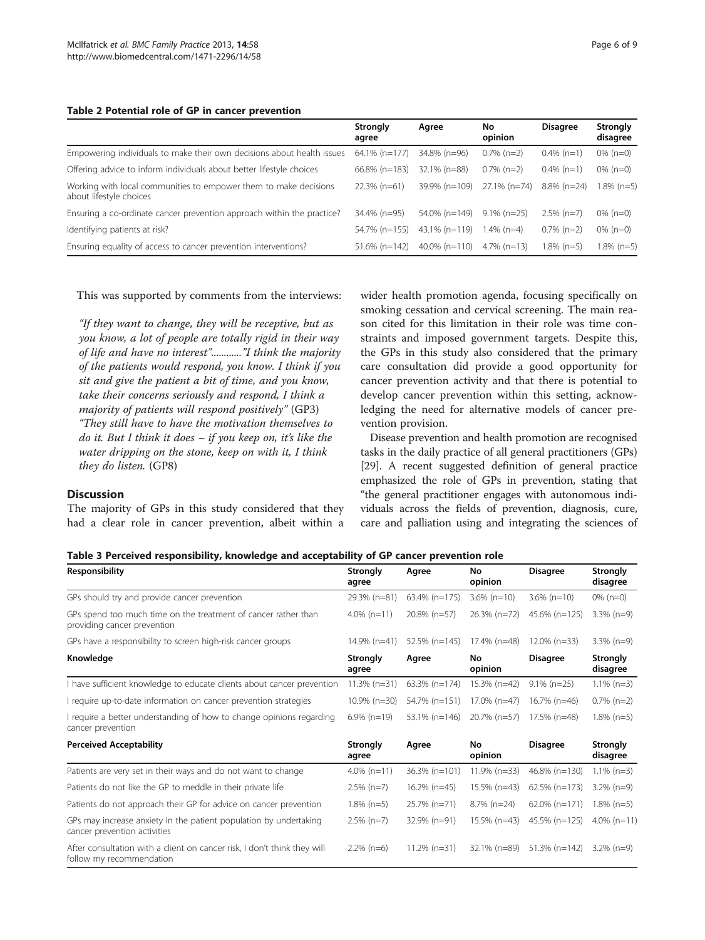#### <span id="page-5-0"></span>Table 2 Potential role of GP in cancer prevention

|                                                                                             | <b>Strongly</b><br>agree | Agree            | No<br>opinion  | <b>Disagree</b> | <b>Strongly</b><br>disagree |
|---------------------------------------------------------------------------------------------|--------------------------|------------------|----------------|-----------------|-----------------------------|
| Empowering individuals to make their own decisions about health issues                      | 64.1% (n=177)            | 34.8% (n=96)     | $0.7\%$ (n=2)  | $0.4\%$ (n=1)   | $0\%$ (n=0)                 |
| Offering advice to inform individuals about better lifestyle choices                        | $66.8\%$ (n=183)         | $32.1\%$ (n=88)  | $0.7\%$ (n=2)  | $0.4\%$ (n=1)   | $0\%$ (n=0)                 |
| Working with local communities to empower them to make decisions<br>about lifestyle choices | $22.3\%$ (n=61)          | 39.9% (n=109)    | 27.1% (n=74)   | $8.8\%$ (n=24)  | 1.8% (n=5)                  |
| Ensuring a co-ordinate cancer prevention approach within the practice?                      | 34.4% (n=95)             | 54.0% (n=149)    | $9.1\%$ (n=25) | $2.5\%$ (n=7)   | $0\%$ (n=0)                 |
| Identifying patients at risk?                                                               | 54.7% (n=155)            | $43.1\%$ (n=119) | $1.4\%$ (n=4)  | $0.7\%$ (n=2)   | $0\%$ (n=0)                 |
| Ensuring equality of access to cancer prevention interventions?                             | $51.6\%$ (n=142)         | $40.0\%$ (n=110) | $4.7\%$ (n=13) | 1.8% (n=5)      | 1.8% (n=5)                  |

This was supported by comments from the interviews:

"If they want to change, they will be receptive, but as you know, a lot of people are totally rigid in their way of life and have no interest"............"I think the majority of the patients would respond, you know. I think if you sit and give the patient a bit of time, and you know, take their concerns seriously and respond, I think a majority of patients will respond positively" (GP3) "They still have to have the motivation themselves to do it. But I think it does  $-$  if you keep on, it's like the water dripping on the stone, keep on with it, I think they do listen. (GP8)

The majority of GPs in this study considered that they had a clear role in cancer prevention, albeit within a

**Discussion** 

wider health promotion agenda, focusing specifically on smoking cessation and cervical screening. The main reason cited for this limitation in their role was time constraints and imposed government targets. Despite this, the GPs in this study also considered that the primary care consultation did provide a good opportunity for cancer prevention activity and that there is potential to develop cancer prevention within this setting, acknowledging the need for alternative models of cancer prevention provision.

Disease prevention and health promotion are recognised tasks in the daily practice of all general practitioners (GPs) [[29](#page-8-0)]. A recent suggested definition of general practice emphasized the role of GPs in prevention, stating that "the general practitioner engages with autonomous individuals across the fields of prevention, diagnosis, cure, care and palliation using and integrating the sciences of

#### Table 3 Perceived responsibility, knowledge and acceptability of GP cancer prevention role

| Responsibility                                                                                       | <b>Strongly</b><br>agree | Agree           | No<br>opinion   | <b>Disagree</b> | <b>Strongly</b><br>disagree |
|------------------------------------------------------------------------------------------------------|--------------------------|-----------------|-----------------|-----------------|-----------------------------|
| GPs should try and provide cancer prevention                                                         | 29.3% (n=81)             | 63.4% (n=175)   | $3.6\%$ (n=10)  | $3.6\%$ (n=10)  | $0\%$ (n=0)                 |
| GPs spend too much time on the treatment of cancer rather than<br>providing cancer prevention        | $4.0\%$ (n=11)           | 20.8% (n=57)    | 26.3% (n=72)    | 45.6% (n=125)   | $3.3\%$ (n=9)               |
| GPs have a responsibility to screen high-risk cancer groups                                          | 14.9% (n=41)             | 52.5% (n=145)   | 17.4% (n=48)    | $12.0\%$ (n=33) | $3.3\%$ (n=9)               |
| Knowledge                                                                                            | <b>Strongly</b><br>agree | Agree           | No<br>opinion   | <b>Disagree</b> | <b>Strongly</b><br>disagree |
| I have sufficient knowledge to educate clients about cancer prevention                               | $11.3\%$ (n=31)          | 63.3% (n=174)   | 15.3% (n=42)    | $9.1\%$ (n=25)  | $1.1\%$ (n=3)               |
| I require up-to-date information on cancer prevention strategies                                     | $10.9\%$ (n=30)          | 54.7% (n=151)   | 17.0% (n=47)    | 16.7% (n=46)    | $0.7\%$ (n=2)               |
| I require a better understanding of how to change opinions regarding<br>cancer prevention            | $6.9\%$ (n=19)           | 53.1% (n=146)   | 20.7% (n=57)    | $17.5\%$ (n=48) | $1.8\%$ (n=5)               |
| <b>Perceived Acceptability</b>                                                                       | <b>Strongly</b><br>agree | Agree           | No<br>opinion   | <b>Disagree</b> | <b>Strongly</b><br>disagree |
| Patients are very set in their ways and do not want to change                                        | $4.0\%$ (n=11)           | 36.3% (n=101)   | $11.9\%$ (n=33) | 46.8% (n=130)   | $1.1\%$ (n=3)               |
| Patients do not like the GP to meddle in their private life                                          | $2.5\%$ (n=7)            | $16.2\%$ (n=45) | 15.5% (n=43)    | 62.5% (n=173)   | $3.2\%$ (n=9)               |
| Patients do not approach their GP for advice on cancer prevention                                    | $1.8\%$ (n=5)            | 25.7% (n=71)    | $8.7\%$ (n=24)  | 62.0% (n=171)   | $1.8\%$ (n=5)               |
| GPs may increase anxiety in the patient population by undertaking<br>cancer prevention activities    | $2.5\%$ (n=7)            | 32.9% (n=91)    | $15.5\%$ (n=43) | 45.5% (n=125)   | 4.0% $(n=11)$               |
| After consultation with a client on cancer risk, I don't think they will<br>follow my recommendation | $2.2\%$ (n=6)            | $11.2\%$ (n=31) | 32.1% (n=89)    | 51.3% (n=142)   | $3.2\%$ (n=9)               |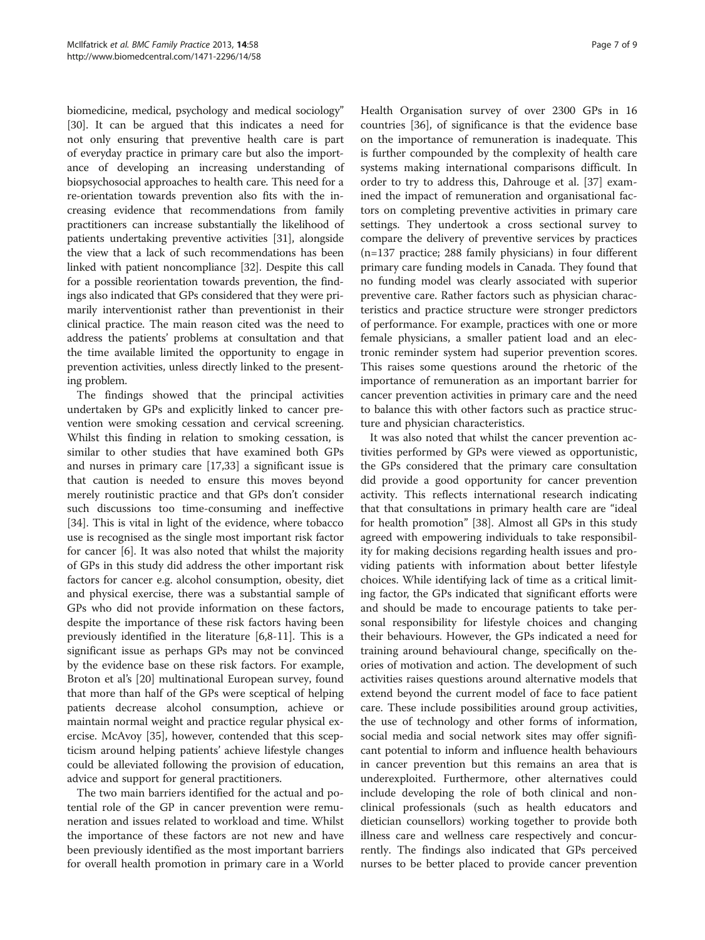biomedicine, medical, psychology and medical sociology" [[30](#page-8-0)]. It can be argued that this indicates a need for not only ensuring that preventive health care is part of everyday practice in primary care but also the importance of developing an increasing understanding of biopsychosocial approaches to health care. This need for a re-orientation towards prevention also fits with the increasing evidence that recommendations from family practitioners can increase substantially the likelihood of patients undertaking preventive activities [[31](#page-8-0)], alongside the view that a lack of such recommendations has been linked with patient noncompliance [\[32\]](#page-8-0). Despite this call for a possible reorientation towards prevention, the findings also indicated that GPs considered that they were primarily interventionist rather than preventionist in their clinical practice. The main reason cited was the need to address the patients' problems at consultation and that the time available limited the opportunity to engage in prevention activities, unless directly linked to the presenting problem.

The findings showed that the principal activities undertaken by GPs and explicitly linked to cancer prevention were smoking cessation and cervical screening. Whilst this finding in relation to smoking cessation, is similar to other studies that have examined both GPs and nurses in primary care [[17](#page-8-0),[33](#page-8-0)] a significant issue is that caution is needed to ensure this moves beyond merely routinistic practice and that GPs don't consider such discussions too time-consuming and ineffective [[34\]](#page-8-0). This is vital in light of the evidence, where tobacco use is recognised as the single most important risk factor for cancer [\[6\]](#page-7-0). It was also noted that whilst the majority of GPs in this study did address the other important risk factors for cancer e.g. alcohol consumption, obesity, diet and physical exercise, there was a substantial sample of GPs who did not provide information on these factors, despite the importance of these risk factors having been previously identified in the literature [[6,8-11\]](#page-7-0). This is a significant issue as perhaps GPs may not be convinced by the evidence base on these risk factors. For example, Broton et al's [[20\]](#page-8-0) multinational European survey, found that more than half of the GPs were sceptical of helping patients decrease alcohol consumption, achieve or maintain normal weight and practice regular physical exercise. McAvoy [[35](#page-8-0)], however, contended that this scepticism around helping patients' achieve lifestyle changes could be alleviated following the provision of education, advice and support for general practitioners.

The two main barriers identified for the actual and potential role of the GP in cancer prevention were remuneration and issues related to workload and time. Whilst the importance of these factors are not new and have been previously identified as the most important barriers for overall health promotion in primary care in a World Health Organisation survey of over 2300 GPs in 16 countries [[36\]](#page-8-0), of significance is that the evidence base on the importance of remuneration is inadequate. This is further compounded by the complexity of health care systems making international comparisons difficult. In order to try to address this, Dahrouge et al. [\[37](#page-8-0)] examined the impact of remuneration and organisational factors on completing preventive activities in primary care settings. They undertook a cross sectional survey to compare the delivery of preventive services by practices (n=137 practice; 288 family physicians) in four different primary care funding models in Canada. They found that no funding model was clearly associated with superior preventive care. Rather factors such as physician characteristics and practice structure were stronger predictors of performance. For example, practices with one or more female physicians, a smaller patient load and an electronic reminder system had superior prevention scores. This raises some questions around the rhetoric of the importance of remuneration as an important barrier for cancer prevention activities in primary care and the need to balance this with other factors such as practice structure and physician characteristics.

It was also noted that whilst the cancer prevention activities performed by GPs were viewed as opportunistic, the GPs considered that the primary care consultation did provide a good opportunity for cancer prevention activity. This reflects international research indicating that that consultations in primary health care are "ideal for health promotion" [\[38](#page-8-0)]. Almost all GPs in this study agreed with empowering individuals to take responsibility for making decisions regarding health issues and providing patients with information about better lifestyle choices. While identifying lack of time as a critical limiting factor, the GPs indicated that significant efforts were and should be made to encourage patients to take personal responsibility for lifestyle choices and changing their behaviours. However, the GPs indicated a need for training around behavioural change, specifically on theories of motivation and action. The development of such activities raises questions around alternative models that extend beyond the current model of face to face patient care. These include possibilities around group activities, the use of technology and other forms of information, social media and social network sites may offer significant potential to inform and influence health behaviours in cancer prevention but this remains an area that is underexploited. Furthermore, other alternatives could include developing the role of both clinical and nonclinical professionals (such as health educators and dietician counsellors) working together to provide both illness care and wellness care respectively and concurrently. The findings also indicated that GPs perceived nurses to be better placed to provide cancer prevention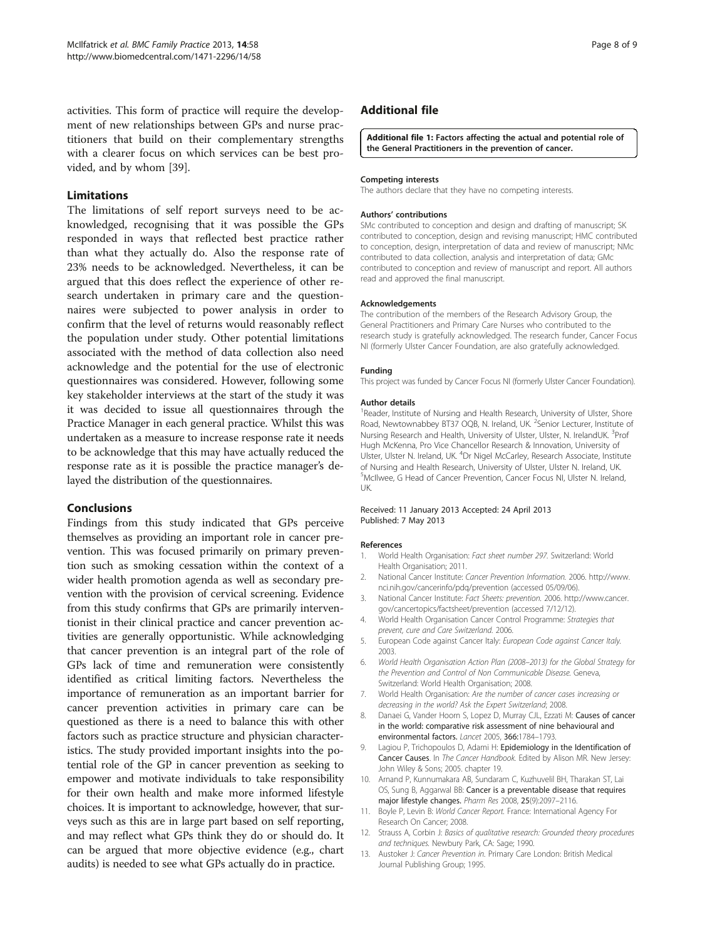<span id="page-7-0"></span>activities. This form of practice will require the development of new relationships between GPs and nurse practitioners that build on their complementary strengths with a clearer focus on which services can be best provided, and by whom [[39](#page-8-0)].

# Limitations

The limitations of self report surveys need to be acknowledged, recognising that it was possible the GPs responded in ways that reflected best practice rather than what they actually do. Also the response rate of 23% needs to be acknowledged. Nevertheless, it can be argued that this does reflect the experience of other research undertaken in primary care and the questionnaires were subjected to power analysis in order to confirm that the level of returns would reasonably reflect the population under study. Other potential limitations associated with the method of data collection also need acknowledge and the potential for the use of electronic questionnaires was considered. However, following some key stakeholder interviews at the start of the study it was it was decided to issue all questionnaires through the Practice Manager in each general practice. Whilst this was undertaken as a measure to increase response rate it needs to be acknowledge that this may have actually reduced the response rate as it is possible the practice manager's delayed the distribution of the questionnaires.

# Conclusions

Findings from this study indicated that GPs perceive themselves as providing an important role in cancer prevention. This was focused primarily on primary prevention such as smoking cessation within the context of a wider health promotion agenda as well as secondary prevention with the provision of cervical screening. Evidence from this study confirms that GPs are primarily interventionist in their clinical practice and cancer prevention activities are generally opportunistic. While acknowledging that cancer prevention is an integral part of the role of GPs lack of time and remuneration were consistently identified as critical limiting factors. Nevertheless the importance of remuneration as an important barrier for cancer prevention activities in primary care can be questioned as there is a need to balance this with other factors such as practice structure and physician characteristics. The study provided important insights into the potential role of the GP in cancer prevention as seeking to empower and motivate individuals to take responsibility for their own health and make more informed lifestyle choices. It is important to acknowledge, however, that surveys such as this are in large part based on self reporting, and may reflect what GPs think they do or should do. It can be argued that more objective evidence (e.g., chart audits) is needed to see what GPs actually do in practice.

# Additional file

[Additional file 1:](http://www.biomedcentral.com/content/supplementary/1471-2296-14-58-S1.doc) Factors affecting the actual and potential role of the General Practitioners in the prevention of cancer.

#### Competing interests

The authors declare that they have no competing interests.

#### Authors' contributions

SMc contributed to conception and design and drafting of manuscript; SK contributed to conception, design and revising manuscript; HMC contributed to conception, design, interpretation of data and review of manuscript; NMc contributed to data collection, analysis and interpretation of data; GMc contributed to conception and review of manuscript and report. All authors read and approved the final manuscript.

#### Acknowledgements

The contribution of the members of the Research Advisory Group, the General Practitioners and Primary Care Nurses who contributed to the research study is gratefully acknowledged. The research funder, Cancer Focus NI (formerly Ulster Cancer Foundation, are also gratefully acknowledged.

#### Funding

This project was funded by Cancer Focus NI (formerly Ulster Cancer Foundation).

#### Author details

<sup>1</sup> Reader, Institute of Nursing and Health Research, University of Ulster, Shore Road, Newtownabbey BT37 OQB, N. Ireland, UK. <sup>2</sup>Senior Lecturer, Institute of Nursing Research and Health, University of Ulster, Ulster, N. IrelandUK. <sup>3</sup>Prof Hugh McKenna, Pro Vice Chancellor Research & Innovation, University of Ulster, Ulster N. Ireland, UK. <sup>4</sup>Dr Nigel McCarley, Research Associate, Institute of Nursing and Health Research, University of Ulster, Ulster N. Ireland, UK. 5 McIlwee, G Head of Cancer Prevention, Cancer Focus NI, Ulster N. Ireland, UK.

#### Received: 11 January 2013 Accepted: 24 April 2013 Published: 7 May 2013

# References

- 1. World Health Organisation: Fact sheet number 297. Switzerland: World Health Organisation; 2011.
- 2. National Cancer Institute: Cancer Prevention Information. 2006. [http://www.](http://www.nci.nih.gov/cancerinfo/pdq/prevention) [nci.nih.gov/cancerinfo/pdq/prevention](http://www.nci.nih.gov/cancerinfo/pdq/prevention) (accessed 05/09/06).
- 3. National Cancer Institute: Fact Sheets: prevention. 2006. [http://www.cancer.](http://www.cancer.gov/cancertopics/factsheet/prevention) [gov/cancertopics/factsheet/prevention](http://www.cancer.gov/cancertopics/factsheet/prevention) (accessed 7/12/12).
- 4. World Health Organisation Cancer Control Programme: Strategies that prevent, cure and Care Switzerland. 2006.
- 5. European Code against Cancer Italy: European Code against Cancer Italy. 2003.
- 6. World Health Organisation Action Plan (2008–2013) for the Global Strategy for the Prevention and Control of Non Communicable Disease. Geneva, Switzerland: World Health Organisation; 2008.
- World Health Organisation: Are the number of cancer cases increasing or decreasing in the world? Ask the Expert Switzerland; 2008.
- 8. Danaei G, Vander Hoorn S, Lopez D, Murray CJL, Ezzati M: Causes of cancer in the world: comparative risk assessment of nine behavioural and environmental factors. Lancet 2005, 366:1784–1793.
- 9. Lagiou P, Trichopoulos D, Adami H: Epidemiology in the Identification of Cancer Causes. In The Cancer Handbook. Edited by Alison MR. New Jersey: John Wiley & Sons; 2005. chapter 19.
- 10. Arnand P, Kunnumakara AB, Sundaram C, Kuzhuvelil BH, Tharakan ST, Lai OS, Sung B, Aggarwal BB: Cancer is a preventable disease that requires major lifestyle changes. Pharm Res 2008, 25(9):2097–2116.
- 11. Boyle P, Levin B: World Cancer Report. France: International Agency For Research On Cancer; 2008.
- 12. Strauss A, Corbin J: Basics of qualitative research: Grounded theory procedures and techniques. Newbury Park, CA: Sage; 1990.
- 13. Austoker J: Cancer Prevention in. Primary Care London: British Medical Journal Publishing Group; 1995.